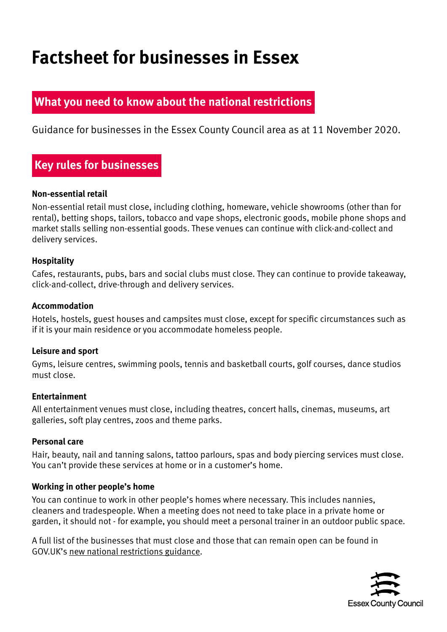# **Factsheet for businesses in Essex**

## **What you need to know about the national restrictions**

Guidance for businesses in the Essex County Council area as at 11 November 2020.

# **Key rules for businesses**

#### **Non-essential retail**

Non-essential retail must close, including clothing, homeware, vehicle showrooms (other than for rental), betting shops, tailors, tobacco and vape shops, electronic goods, mobile phone shops and market stalls selling non-essential goods. These venues can continue with click-and-collect and delivery services.

#### **Hospitality**

Cafes, restaurants, pubs, bars and social clubs must close. They can continue to provide takeaway, click-and-collect, drive-through and delivery services.

#### **Accommodation**

Hotels, hostels, guest houses and campsites must close, except for specific circumstances such as if it is your main residence or you accommodate homeless people.

#### **Leisure and sport**

Gyms, leisure centres, swimming pools, tennis and basketball courts, golf courses, dance studios must close.

#### **Entertainment**

All entertainment venues must close, including theatres, concert halls, cinemas, museums, art galleries, soft play centres, zoos and theme parks.

#### **Personal care**

Hair, beauty, nail and tanning salons, tattoo parlours, spas and body piercing services must close. You can't provide these services at home or in a customer's home.

#### **Working in other people's home**

You can continue to work in other people's homes where necessary. This includes nannies, cleaners and tradespeople. When a meeting does not need to take place in a private home or garden, it should not - for example, you should meet a personal trainer in an outdoor public space.

A full list of the businesses that must close and those that can remain open can be found in GOV.UK's [new national restrictions guidance](https://www.gov.uk/guidance/new-national-restrictions-from-5-november#businesses-and-venues).

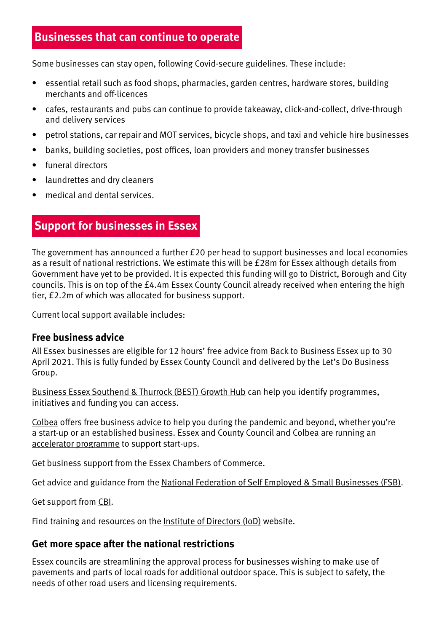## **Businesses that can continue to operate**

Some businesses can stay open, following Covid-secure guidelines. These include:

- essential retail such as food shops, pharmacies, garden centres, hardware stores, building merchants and off-licences
- cafes, restaurants and pubs can continue to provide takeaway, click-and-collect, drive-through and delivery services
- petrol stations, car repair and MOT services, bicycle shops, and taxi and vehicle hire businesses
- banks, building societies, post offices, loan providers and money transfer businesses
- funeral directors
- laundrettes and dry cleaners
- medical and dental services.

## **Support for businesses in Essex**

The government has announced a further £20 per head to support businesses and local economies as a result of national restrictions. We estimate this will be £28m for Essex although details from Government have yet to be provided. It is expected this funding will go to District, Borough and City councils. This is on top of the £4.4m Essex County Council already received when entering the high tier, £2.2m of which was allocated for business support.

Current local support available includes:

#### **Free business advice**

All Essex businesses are eligible for 12 hours' free advice from [Back to Business Essex](https://www.backtobusinessessex.co.uk/) up to 30 April 2021. This is fully funded by Essex County Council and delivered by the Let's Do Business Group.

[Business Essex Southend & Thurrock \(BEST\) Growth Hub](https://southeastbusiness.org.uk/essex-southend-thurrock/) can help you identify programmes, initiatives and funding you can access.

[Colbea](https://colbea.co.uk/business-advice-coronavirus/) offers free business advice to help you during the pandemic and beyond, whether you're a start-up or an established business. Essex and County Council and Colbea are running an [accelerator programme](https://www.eventbrite.co.uk/e/essex-business-accelerator-programme-registration-122975393713?aff=AcceleratorW) to support start-ups.

Get business support from the [Essex Chambers of Commerce.](https://www.essexchambers.co.uk/home.htm)

Get advice and guidance from the [National Federation of Self Employed & Small Businesses \(FSB\).](https://www.fsb.org.uk/)

Get support from [CBI.](https://www.cbi.org.uk/)

Find training and resources on the [Institute of Directors \(IoD\)](https://www.iod.com/) website.

#### **Get more space after the national restrictions**

Essex councils are streamlining the approval process for businesses wishing to make use of pavements and parts of local roads for additional outdoor space. This is subject to safety, the needs of other road users and licensing requirements.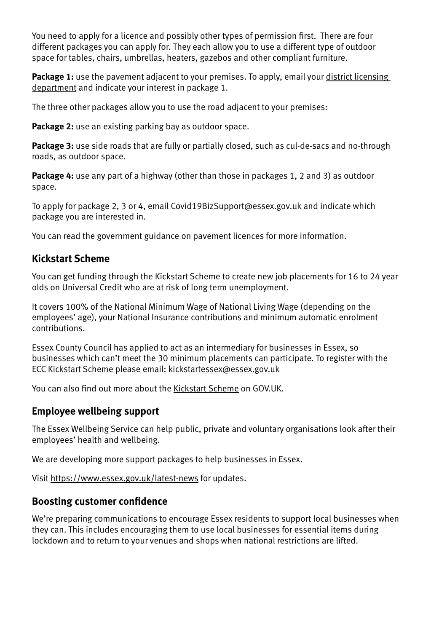You need to apply for a licence and possibly other types of permission first. There are four different packages you can apply for. They each allow you to use a different type of outdoor space for tables, chairs, umbrellas, heaters, gazebos and other compliant furniture.

Package 1: use the pavement adjacent to your premises. To apply, email your district licensing [department](https://www.gov.uk/find-local-council) and indicate your interest in package 1.

The three other packages allow you to use the road adjacent to your premises:

**Package 2:** use an existing parking bay as outdoor space.

**Package 3:** use side roads that are fully or partially closed, such as cul-de-sacs and no-through roads, as outdoor space.

**Package 4:** use any part of a highway (other than those in packages 1, 2 and 3) as outdoor space.

To apply for package 2, 3 or 4, email [Covid19BizSupport@essex.gov.uk](mailto:Covid19BizSupport%40essex.gov.uk?subject=) and indicate which package you are interested in.

You can read the [government guidance on pavement licences](https://www.gov.uk/government/publications/pavement-licences-draft-guidance) for more information.

## **Kickstart Scheme**

You can get funding through the Kickstart Scheme to create new job placements for 16 to 24 year olds on Universal Credit who are at risk of long term unemployment.

It covers 100% of the National Minimum Wage of National Living Wage (depending on the employees' age), your National Insurance contributions and minimum automatic enrolment contributions.

Essex County Council has applied to act as an intermediary for businesses in Essex, so businesses which can't meet the 30 minimum placements can participate. To register with the ECC Kickstart Scheme please email: [kickstartessex@essex.gov.uk](mailto:kickstartessex%40essex.gov.uk?subject=)

You can also find out more about the [Kickstart Scheme](https://www.gov.uk/guidance/apply-for-a-kickstart-scheme-grant-30-or-more-job-placements) on GOV.UK.

#### **Employee wellbeing support**

The [Essex Wellbeing Service](https://www.essexwellbeingservice.co.uk/) can help public, private and voluntary organisations look after their employees' health and wellbeing.

We are developing more support packages to help businesses in Essex.

Visit<https://www.essex.gov.uk/latest-news> for updates.

#### **Boosting customer confidence**

We're preparing communications to encourage Essex residents to support local businesses when they can. This includes encouraging them to use local businesses for essential items during lockdown and to return to your venues and shops when national restrictions are lifted.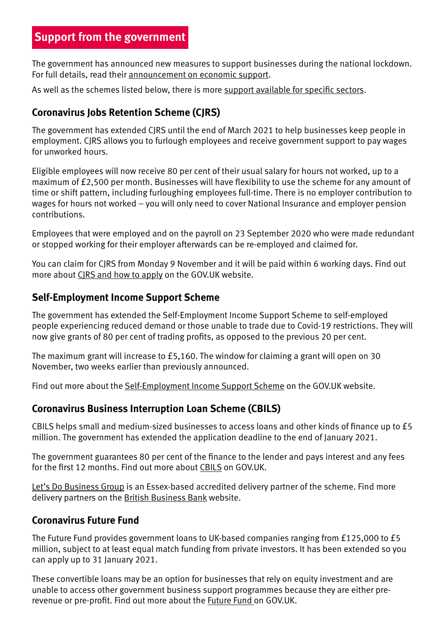The government has announced new measures to support businesses during the national lockdown. For full details, read their [announcement on economic support.](https://www.gov.uk/government/news/furlough-scheme-extended-and-further-economic-support-announced)

As well as the schemes listed below, there is more [support available for specific sectors.](https://www.gov.uk/guidance/coronavirus-support-from-business-representative-organisations-and-trade-associations?priority-taxon=09944b84-02ba-4742-a696-9e562fc9b29d)

## **Coronavirus Jobs Retention Scheme (CJRS)**

The government has extended CJRS until the end of March 2021 to help businesses keep people in employment. CJRS allows you to furlough employees and receive government support to pay wages for unworked hours.

Eligible employees will now receive 80 per cent of their usual salary for hours not worked, up to a maximum of £2,500 per month. Businesses will have flexibility to use the scheme for any amount of time or shift pattern, including furloughing employees full-time. There is no employer contribution to wages for hours not worked – you will only need to cover National Insurance and employer pension contributions.

Employees that were employed and on the payroll on 23 September 2020 who were made redundant or stopped working for their employer afterwards can be re-employed and claimed for.

You can claim for CJRS from Monday 9 November and it will be paid within 6 working days. Find out more about [CJRS and how to apply](https://www.gov.uk/government/collections/coronavirus-job-retention-scheme) on the GOV.UK website.

## **Self-Employment Income Support Scheme**

The government has extended the Self-Employment Income Support Scheme to self-employed people experiencing reduced demand or those unable to trade due to Covid-19 restrictions. They will now give grants of 80 per cent of trading profits, as opposed to the previous 20 per cent.

The maximum grant will increase to £5,160. The window for claiming a grant will open on 30 November, two weeks earlier than previously announced.

Find out more about the [Self-Employment Income Support Scheme](https://www.gov.uk/government/publications/self-employment-income-support-scheme-grant-extension) on the GOV.UK website.

#### **Coronavirus Business Interruption Loan Scheme (CBILS)**

CBILS helps small and medium-sized businesses to access loans and other kinds of finance up to £5 million. The government has extended the application deadline to the end of January 2021.

The government guarantees 80 per cent of the finance to the lender and pays interest and any fees for the first 12 months. Find out more about [CBILS](https://www.gov.uk/guidance/apply-for-the-coronavirus-business-interruption-loan-scheme) on GOV.UK.

[Let's Do Business Group](https://www.letsdobusinessfinance.co.uk/cbils-ldbf) is an Essex-based accredited delivery partner of the scheme. Find more delivery partners on the [British Business Bank](https://www.british-business-bank.co.uk/ourpartners/coronavirus-business-interruption-loan-scheme-cbils-2/current-accredited-lenders-and-partners/) website.

#### **Coronavirus Future Fund**

The Future Fund provides government loans to UK-based companies ranging from £125,000 to £5 million, subject to at least equal match funding from private investors. It has been extended so you can apply up to 31 January 2021.

These convertible loans may be an option for businesses that rely on equity investment and are unable to access other government business support programmes because they are either prerevenue or pre-profit. Find out more about the **Future Fund on GOV.UK.**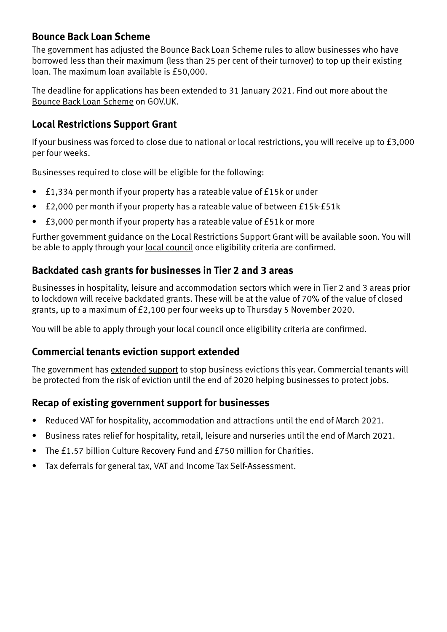## **Bounce Back Loan Scheme**

The government has adjusted the Bounce Back Loan Scheme rules to allow businesses who have borrowed less than their maximum (less than 25 per cent of their turnover) to top up their existing loan. The maximum loan available is £50,000.

The deadline for applications has been extended to 31 January 2021. Find out more about the [Bounce Back Loan Scheme](https://www.gov.uk/guidance/apply-for-a-coronavirus-bounce-back-loan) on GOV.UK.

## **Local Restrictions Support Grant**

If your business was forced to close due to national or local restrictions, you will receive up to £3,000 per four weeks.

Businesses required to close will be eligible for the following:

- £1,334 per month if your property has a rateable value of £15k or under
- £2,000 per month if your property has a rateable value of between £15k-£51k
- £3,000 per month if your property has a rateable value of £51k or more

Further government guidance on the Local Restrictions Support Grant will be available soon. You will be able to apply through your [local council](https://www.gov.uk/find-local-council) once eligibility criteria are confirmed.

## **Backdated cash grants for businesses in Tier 2 and 3 areas**

Businesses in hospitality, leisure and accommodation sectors which were in Tier 2 and 3 areas prior to lockdown will receive backdated grants. These will be at the value of 70% of the value of closed grants, up to a maximum of £2,100 per four weeks up to Thursday 5 November 2020.

You will be able to apply through your [local council](https://www.gov.uk/find-local-council) once eligibility criteria are confirmed.

## **Commercial tenants eviction support extended**

The government has [extended support](https://www.gov.uk/government/news/government-extends-support-to-stop-business-evictions-this-year) to stop business evictions this year. Commercial tenants will be protected from the risk of eviction until the end of 2020 helping businesses to protect jobs.

## **Recap of existing government support for businesses**

- Reduced VAT for hospitality, accommodation and attractions until the end of March 2021.
- Business rates relief for hospitality, retail, leisure and nurseries until the end of March 2021.
- The £1.57 billion Culture Recovery Fund and £750 million for Charities.
- Tax deferrals for general tax, VAT and Income Tax Self-Assessment.